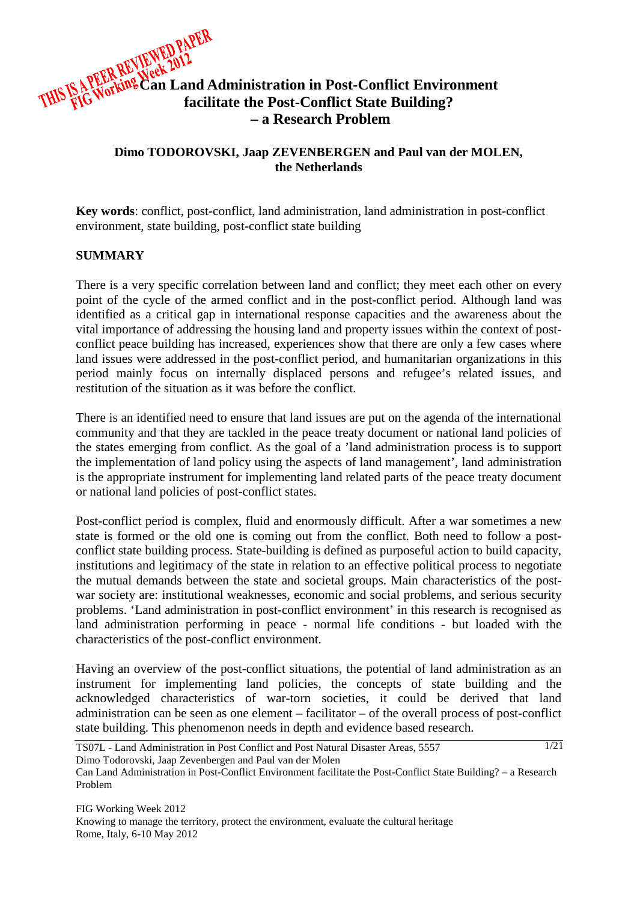

# **Dimo TODOROVSKI, Jaap ZEVENBERGEN and Paul van der MOLEN, the Netherlands**

**Key words**: conflict, post-conflict, land administration, land administration in post-conflict environment, state building, post-conflict state building

## **SUMMARY**

There is a very specific correlation between land and conflict; they meet each other on every point of the cycle of the armed conflict and in the post-conflict period. Although land was identified as a critical gap in international response capacities and the awareness about the vital importance of addressing the housing land and property issues within the context of postconflict peace building has increased, experiences show that there are only a few cases where land issues were addressed in the post-conflict period, and humanitarian organizations in this period mainly focus on internally displaced persons and refugee's related issues, and restitution of the situation as it was before the conflict.

There is an identified need to ensure that land issues are put on the agenda of the international community and that they are tackled in the peace treaty document or national land policies of the states emerging from conflict. As the goal of a 'land administration process is to support the implementation of land policy using the aspects of land management', land administration is the appropriate instrument for implementing land related parts of the peace treaty document or national land policies of post-conflict states.

Post-conflict period is complex, fluid and enormously difficult. After a war sometimes a new state is formed or the old one is coming out from the conflict. Both need to follow a postconflict state building process. State-building is defined as purposeful action to build capacity, institutions and legitimacy of the state in relation to an effective political process to negotiate the mutual demands between the state and societal groups. Main characteristics of the postwar society are: institutional weaknesses, economic and social problems, and serious security problems. 'Land administration in post-conflict environment' in this research is recognised as land administration performing in peace - normal life conditions - but loaded with the characteristics of the post-conflict environment.

Having an overview of the post-conflict situations, the potential of land administration as an instrument for implementing land policies, the concepts of state building and the acknowledged characteristics of war-torn societies, it could be derived that land administration can be seen as one element – facilitator – of the overall process of post-conflict state building. This phenomenon needs in depth and evidence based research.

TS07L - Land Administration in Post Conflict and Post Natural Disaster Areas, 5557 Dimo Todorovski, Jaap Zevenbergen and Paul van der Molen 1/21

Can Land Administration in Post-Conflict Environment facilitate the Post-Conflict State Building? – a Research Problem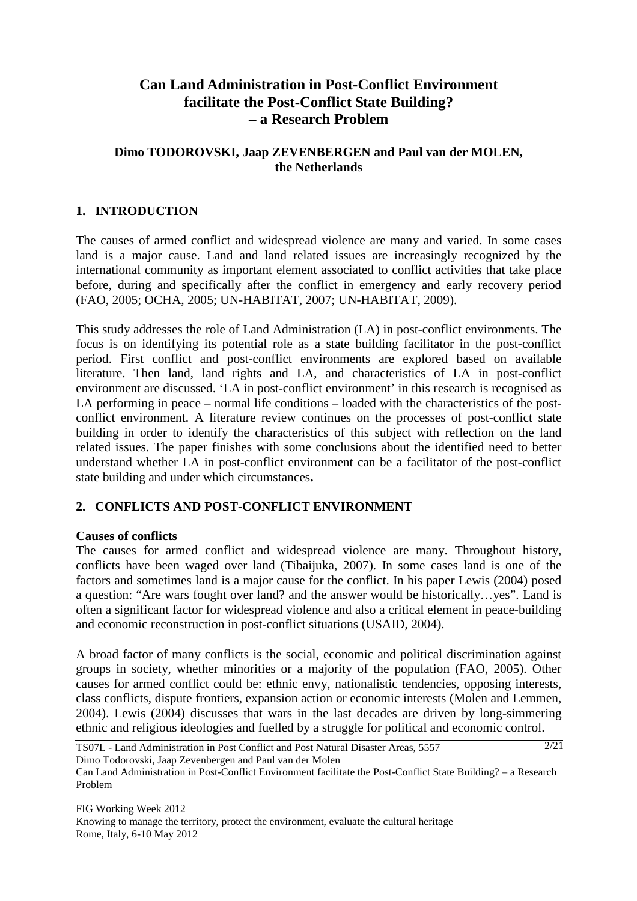# **Can Land Administration in Post-Conflict Environment facilitate the Post-Conflict State Building? – a Research Problem**

# **Dimo TODOROVSKI, Jaap ZEVENBERGEN and Paul van der MOLEN, the Netherlands**

# **1. INTRODUCTION**

The causes of armed conflict and widespread violence are many and varied. In some cases land is a major cause. Land and land related issues are increasingly recognized by the international community as important element associated to conflict activities that take place before, during and specifically after the conflict in emergency and early recovery period (FAO, 2005; OCHA, 2005; UN-HABITAT, 2007; UN-HABITAT, 2009).

This study addresses the role of Land Administration (LA) in post-conflict environments. The focus is on identifying its potential role as a state building facilitator in the post-conflict period. First conflict and post-conflict environments are explored based on available literature. Then land, land rights and LA, and characteristics of LA in post-conflict environment are discussed. 'LA in post-conflict environment' in this research is recognised as LA performing in peace – normal life conditions – loaded with the characteristics of the postconflict environment. A literature review continues on the processes of post-conflict state building in order to identify the characteristics of this subject with reflection on the land related issues. The paper finishes with some conclusions about the identified need to better understand whether LA in post-conflict environment can be a facilitator of the post-conflict state building and under which circumstances**.**

# **2. CONFLICTS AND POST-CONFLICT ENVIRONMENT**

## **Causes of conflicts**

The causes for armed conflict and widespread violence are many. Throughout history, conflicts have been waged over land (Tibaijuka, 2007). In some cases land is one of the factors and sometimes land is a major cause for the conflict. In his paper Lewis (2004) posed a question: "Are wars fought over land? and the answer would be historically…yes". Land is often a significant factor for widespread violence and also a critical element in peace-building and economic reconstruction in post-conflict situations (USAID, 2004).

A broad factor of many conflicts is the social, economic and political discrimination against groups in society, whether minorities or a majority of the population (FAO, 2005). Other causes for armed conflict could be: ethnic envy, nationalistic tendencies, opposing interests, class conflicts, dispute frontiers, expansion action or economic interests (Molen and Lemmen, 2004). Lewis (2004) discusses that wars in the last decades are driven by long-simmering ethnic and religious ideologies and fuelled by a struggle for political and economic control.

TS07L - Land Administration in Post Conflict and Post Natural Disaster Areas, 5557 Dimo Todorovski, Jaap Zevenbergen and Paul van der Molen

Can Land Administration in Post-Conflict Environment facilitate the Post-Conflict State Building? – a Research Problem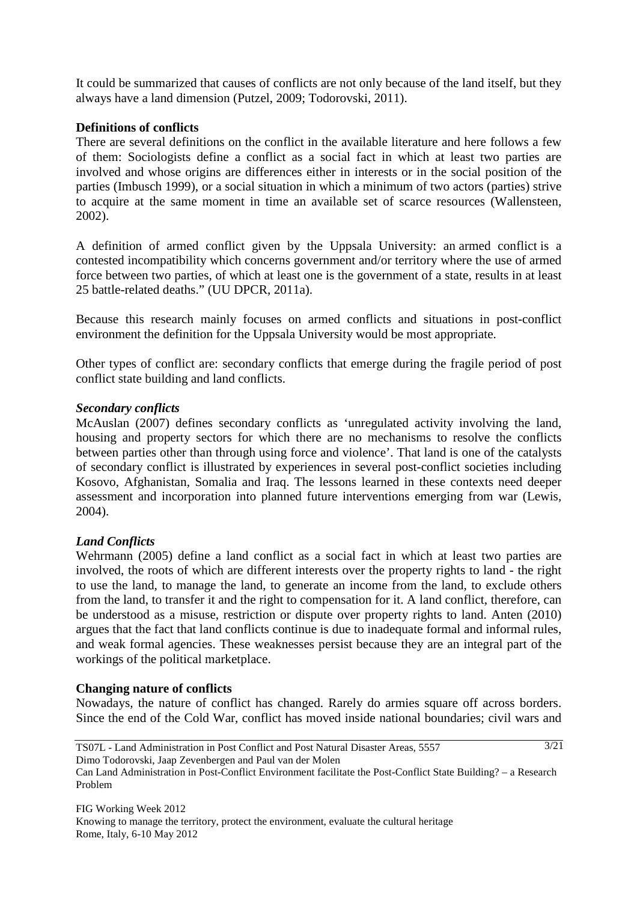It could be summarized that causes of conflicts are not only because of the land itself, but they always have a land dimension (Putzel, 2009; Todorovski, 2011).

## **Definitions of conflicts**

There are several definitions on the conflict in the available literature and here follows a few of them: Sociologists define a conflict as a social fact in which at least two parties are involved and whose origins are differences either in interests or in the social position of the parties (Imbusch 1999), or a social situation in which a minimum of two actors (parties) strive to acquire at the same moment in time an available set of scarce resources (Wallensteen, 2002).

A definition of armed conflict given by the Uppsala University: an armed conflict is a contested incompatibility which concerns government and/or territory where the use of armed force between two parties, of which at least one is the government of a state, results in at least 25 battle-related deaths." (UU DPCR, 2011a).

Because this research mainly focuses on armed conflicts and situations in post-conflict environment the definition for the Uppsala University would be most appropriate.

Other types of conflict are: secondary conflicts that emerge during the fragile period of post conflict state building and land conflicts.

## *Secondary conflicts*

McAuslan (2007) defines secondary conflicts as 'unregulated activity involving the land, housing and property sectors for which there are no mechanisms to resolve the conflicts between parties other than through using force and violence'. That land is one of the catalysts of secondary conflict is illustrated by experiences in several post-conflict societies including Kosovo, Afghanistan, Somalia and Iraq. The lessons learned in these contexts need deeper assessment and incorporation into planned future interventions emerging from war (Lewis, 2004).

## *Land Conflicts*

Wehrmann (2005) define a land conflict as a social fact in which at least two parties are involved, the roots of which are different interests over the property rights to land - the right to use the land, to manage the land, to generate an income from the land, to exclude others from the land, to transfer it and the right to compensation for it. A land conflict, therefore, can be understood as a misuse, restriction or dispute over property rights to land. Anten (2010) argues that the fact that land conflicts continue is due to inadequate formal and informal rules, and weak formal agencies. These weaknesses persist because they are an integral part of the workings of the political marketplace.

## **Changing nature of conflicts**

Nowadays, the nature of conflict has changed. Rarely do armies square off across borders. Since the end of the Cold War, conflict has moved inside national boundaries; civil wars and

3/21

Can Land Administration in Post-Conflict Environment facilitate the Post-Conflict State Building? – a Research Problem

FIG Working Week 2012 Knowing to manage the territory, protect the environment, evaluate the cultural heritage Rome, Italy, 6-10 May 2012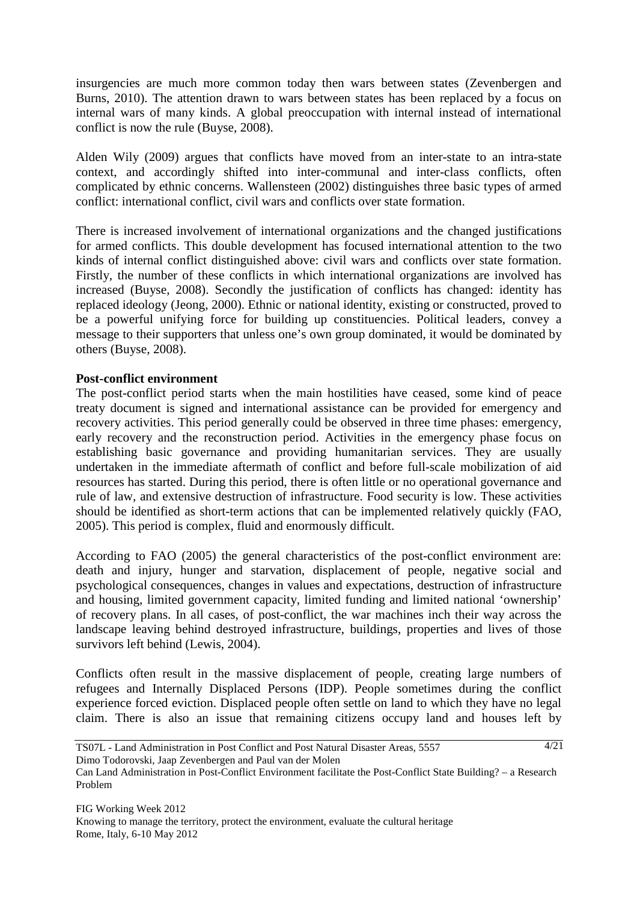insurgencies are much more common today then wars between states (Zevenbergen and Burns, 2010). The attention drawn to wars between states has been replaced by a focus on internal wars of many kinds. A global preoccupation with internal instead of international conflict is now the rule (Buyse, 2008).

Alden Wily (2009) argues that conflicts have moved from an inter-state to an intra-state context, and accordingly shifted into inter-communal and inter-class conflicts, often complicated by ethnic concerns. Wallensteen (2002) distinguishes three basic types of armed conflict: international conflict, civil wars and conflicts over state formation.

There is increased involvement of international organizations and the changed justifications for armed conflicts. This double development has focused international attention to the two kinds of internal conflict distinguished above: civil wars and conflicts over state formation. Firstly, the number of these conflicts in which international organizations are involved has increased (Buyse, 2008). Secondly the justification of conflicts has changed: identity has replaced ideology (Jeong, 2000). Ethnic or national identity, existing or constructed, proved to be a powerful unifying force for building up constituencies. Political leaders, convey a message to their supporters that unless one's own group dominated, it would be dominated by others (Buyse, 2008).

## **Post-conflict environment**

The post-conflict period starts when the main hostilities have ceased, some kind of peace treaty document is signed and international assistance can be provided for emergency and recovery activities. This period generally could be observed in three time phases: emergency, early recovery and the reconstruction period. Activities in the emergency phase focus on establishing basic governance and providing humanitarian services. They are usually undertaken in the immediate aftermath of conflict and before full-scale mobilization of aid resources has started. During this period, there is often little or no operational governance and rule of law, and extensive destruction of infrastructure. Food security is low. These activities should be identified as short-term actions that can be implemented relatively quickly (FAO, 2005). This period is complex, fluid and enormously difficult.

According to FAO (2005) the general characteristics of the post-conflict environment are: death and injury, hunger and starvation, displacement of people, negative social and psychological consequences, changes in values and expectations, destruction of infrastructure and housing, limited government capacity, limited funding and limited national 'ownership' of recovery plans. In all cases, of post-conflict, the war machines inch their way across the landscape leaving behind destroyed infrastructure, buildings, properties and lives of those survivors left behind (Lewis, 2004).

Conflicts often result in the massive displacement of people, creating large numbers of refugees and Internally Displaced Persons (IDP). People sometimes during the conflict experience forced eviction. Displaced people often settle on land to which they have no legal claim. There is also an issue that remaining citizens occupy land and houses left by

TS07L - Land Administration in Post Conflict and Post Natural Disaster Areas, 5557 Dimo Todorovski, Jaap Zevenbergen and Paul van der Molen

Can Land Administration in Post-Conflict Environment facilitate the Post-Conflict State Building? – a Research Problem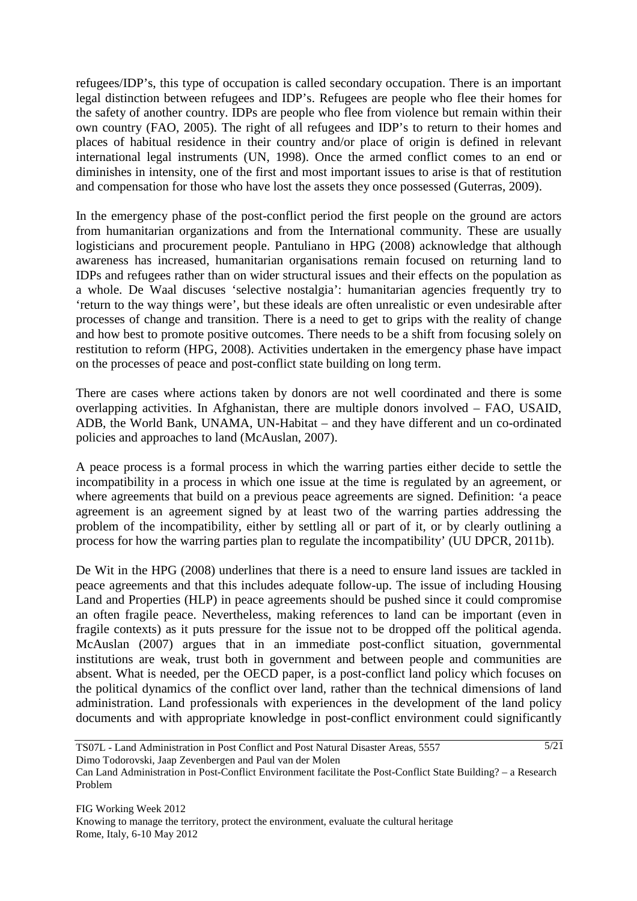refugees/IDP's, this type of occupation is called secondary occupation. There is an important legal distinction between refugees and IDP's. Refugees are people who flee their homes for the safety of another country. IDPs are people who flee from violence but remain within their own country (FAO, 2005). The right of all refugees and IDP's to return to their homes and places of habitual residence in their country and/or place of origin is defined in relevant international legal instruments (UN, 1998). Once the armed conflict comes to an end or diminishes in intensity, one of the first and most important issues to arise is that of restitution and compensation for those who have lost the assets they once possessed (Guterras, 2009).

In the emergency phase of the post-conflict period the first people on the ground are actors from humanitarian organizations and from the International community. These are usually logisticians and procurement people. Pantuliano in HPG (2008) acknowledge that although awareness has increased, humanitarian organisations remain focused on returning land to IDPs and refugees rather than on wider structural issues and their effects on the population as a whole. De Waal discuses 'selective nostalgia': humanitarian agencies frequently try to 'return to the way things were', but these ideals are often unrealistic or even undesirable after processes of change and transition. There is a need to get to grips with the reality of change and how best to promote positive outcomes. There needs to be a shift from focusing solely on restitution to reform (HPG, 2008). Activities undertaken in the emergency phase have impact on the processes of peace and post-conflict state building on long term.

There are cases where actions taken by donors are not well coordinated and there is some overlapping activities. In Afghanistan, there are multiple donors involved – FAO, USAID, ADB, the World Bank, UNAMA, UN-Habitat – and they have different and un co-ordinated policies and approaches to land (McAuslan, 2007).

A peace process is a formal process in which the warring parties either decide to settle the incompatibility in a process in which one issue at the time is regulated by an agreement, or where agreements that build on a previous peace agreements are signed. Definition: 'a peace agreement is an agreement signed by at least two of the warring parties addressing the problem of the incompatibility, either by settling all or part of it, or by clearly outlining a process for how the warring parties plan to regulate the incompatibility' (UU DPCR, 2011b).

De Wit in the HPG (2008) underlines that there is a need to ensure land issues are tackled in peace agreements and that this includes adequate follow-up. The issue of including Housing Land and Properties (HLP) in peace agreements should be pushed since it could compromise an often fragile peace. Nevertheless, making references to land can be important (even in fragile contexts) as it puts pressure for the issue not to be dropped off the political agenda. McAuslan (2007) argues that in an immediate post-conflict situation, governmental institutions are weak, trust both in government and between people and communities are absent. What is needed, per the OECD paper, is a post-conflict land policy which focuses on the political dynamics of the conflict over land, rather than the technical dimensions of land administration. Land professionals with experiences in the development of the land policy documents and with appropriate knowledge in post-conflict environment could significantly

TS07L - Land Administration in Post Conflict and Post Natural Disaster Areas, 5557 Dimo Todorovski, Jaap Zevenbergen and Paul van der Molen

Can Land Administration in Post-Conflict Environment facilitate the Post-Conflict State Building? – a Research Problem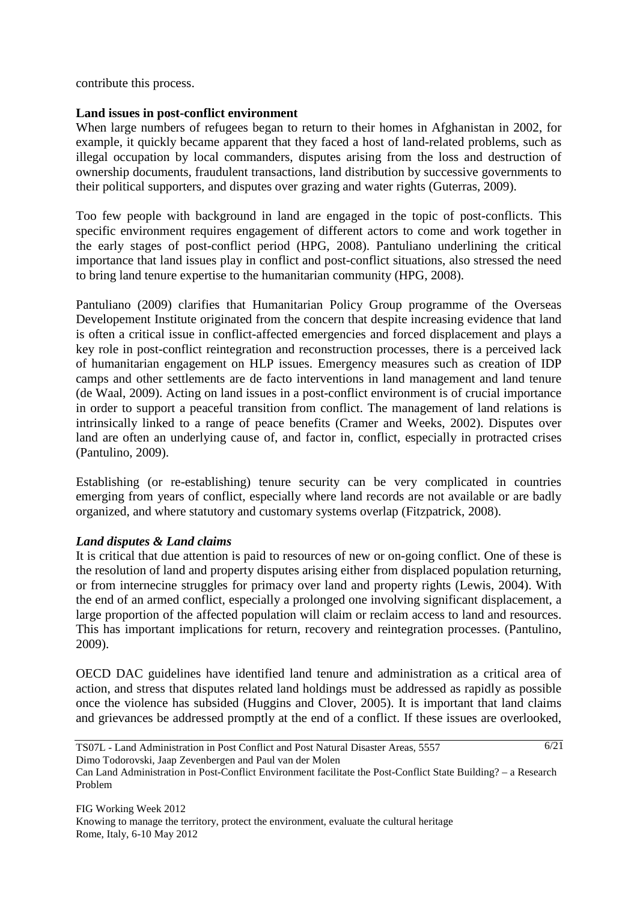contribute this process.

## **Land issues in post-conflict environment**

When large numbers of refugees began to return to their homes in Afghanistan in 2002, for example, it quickly became apparent that they faced a host of land-related problems, such as illegal occupation by local commanders, disputes arising from the loss and destruction of ownership documents, fraudulent transactions, land distribution by successive governments to their political supporters, and disputes over grazing and water rights (Guterras, 2009).

Too few people with background in land are engaged in the topic of post-conflicts. This specific environment requires engagement of different actors to come and work together in the early stages of post-conflict period (HPG, 2008). Pantuliano underlining the critical importance that land issues play in conflict and post-conflict situations, also stressed the need to bring land tenure expertise to the humanitarian community (HPG, 2008).

Pantuliano (2009) clarifies that Humanitarian Policy Group programme of the Overseas Developement Institute originated from the concern that despite increasing evidence that land is often a critical issue in conflict-affected emergencies and forced displacement and plays a key role in post-conflict reintegration and reconstruction processes, there is a perceived lack of humanitarian engagement on HLP issues. Emergency measures such as creation of IDP camps and other settlements are de facto interventions in land management and land tenure (de Waal, 2009). Acting on land issues in a post-conflict environment is of crucial importance in order to support a peaceful transition from conflict. The management of land relations is intrinsically linked to a range of peace benefits (Cramer and Weeks, 2002). Disputes over land are often an underlying cause of, and factor in, conflict, especially in protracted crises (Pantulino, 2009).

Establishing (or re-establishing) tenure security can be very complicated in countries emerging from years of conflict, especially where land records are not available or are badly organized, and where statutory and customary systems overlap (Fitzpatrick, 2008).

## *Land disputes & Land claims*

It is critical that due attention is paid to resources of new or on-going conflict. One of these is the resolution of land and property disputes arising either from displaced population returning, or from internecine struggles for primacy over land and property rights (Lewis, 2004). With the end of an armed conflict, especially a prolonged one involving significant displacement, a large proportion of the affected population will claim or reclaim access to land and resources. This has important implications for return, recovery and reintegration processes. (Pantulino, 2009).

OECD DAC guidelines have identified land tenure and administration as a critical area of action, and stress that disputes related land holdings must be addressed as rapidly as possible once the violence has subsided (Huggins and Clover, 2005). It is important that land claims and grievances be addressed promptly at the end of a conflict. If these issues are overlooked,

TS07L - Land Administration in Post Conflict and Post Natural Disaster Areas, 5557 Dimo Todorovski, Jaap Zevenbergen and Paul van der Molen

Can Land Administration in Post-Conflict Environment facilitate the Post-Conflict State Building? – a Research Problem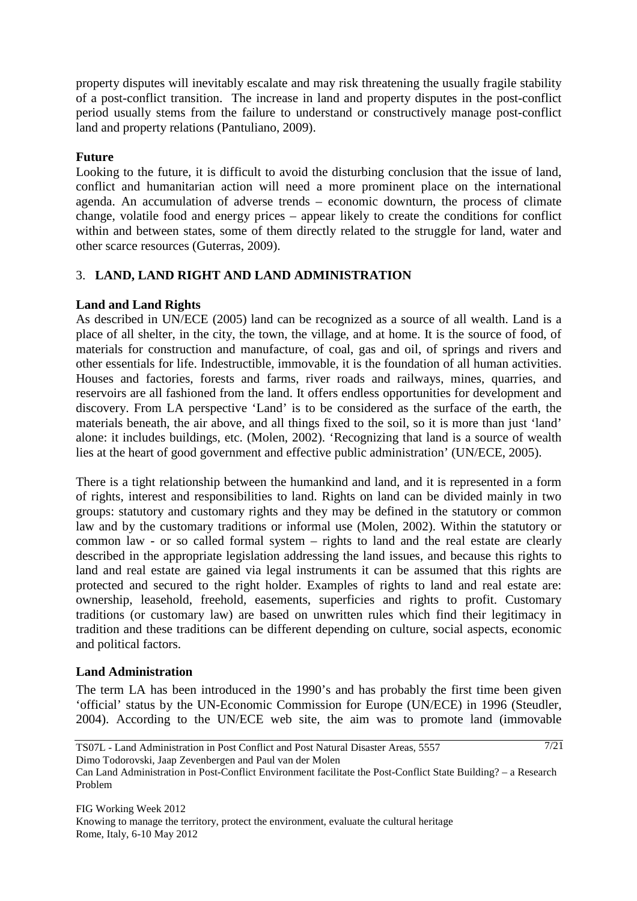property disputes will inevitably escalate and may risk threatening the usually fragile stability of a post-conflict transition. The increase in land and property disputes in the post-conflict period usually stems from the failure to understand or constructively manage post-conflict land and property relations (Pantuliano, 2009).

## **Future**

Looking to the future, it is difficult to avoid the disturbing conclusion that the issue of land, conflict and humanitarian action will need a more prominent place on the international agenda. An accumulation of adverse trends – economic downturn, the process of climate change, volatile food and energy prices – appear likely to create the conditions for conflict within and between states, some of them directly related to the struggle for land, water and other scarce resources (Guterras, 2009).

# 3. **LAND, LAND RIGHT AND LAND ADMINISTRATION**

## **Land and Land Rights**

As described in UN/ECE (2005) land can be recognized as a source of all wealth. Land is a place of all shelter, in the city, the town, the village, and at home. It is the source of food, of materials for construction and manufacture, of coal, gas and oil, of springs and rivers and other essentials for life. Indestructible, immovable, it is the foundation of all human activities. Houses and factories, forests and farms, river roads and railways, mines, quarries, and reservoirs are all fashioned from the land. It offers endless opportunities for development and discovery. From LA perspective 'Land' is to be considered as the surface of the earth, the materials beneath, the air above, and all things fixed to the soil, so it is more than just 'land' alone: it includes buildings, etc. (Molen, 2002). 'Recognizing that land is a source of wealth lies at the heart of good government and effective public administration' (UN/ECE, 2005).

There is a tight relationship between the humankind and land, and it is represented in a form of rights, interest and responsibilities to land. Rights on land can be divided mainly in two groups: statutory and customary rights and they may be defined in the statutory or common law and by the customary traditions or informal use (Molen, 2002). Within the statutory or common law - or so called formal system – rights to land and the real estate are clearly described in the appropriate legislation addressing the land issues, and because this rights to land and real estate are gained via legal instruments it can be assumed that this rights are protected and secured to the right holder. Examples of rights to land and real estate are: ownership, leasehold, freehold, easements, superficies and rights to profit. Customary traditions (or customary law) are based on unwritten rules which find their legitimacy in tradition and these traditions can be different depending on culture, social aspects, economic and political factors.

# **Land Administration**

The term LA has been introduced in the 1990's and has probably the first time been given 'official' status by the UN-Economic Commission for Europe (UN/ECE) in 1996 (Steudler, 2004). According to the UN/ECE web site, the aim was to promote land (immovable

Can Land Administration in Post-Conflict Environment facilitate the Post-Conflict State Building? – a Research Problem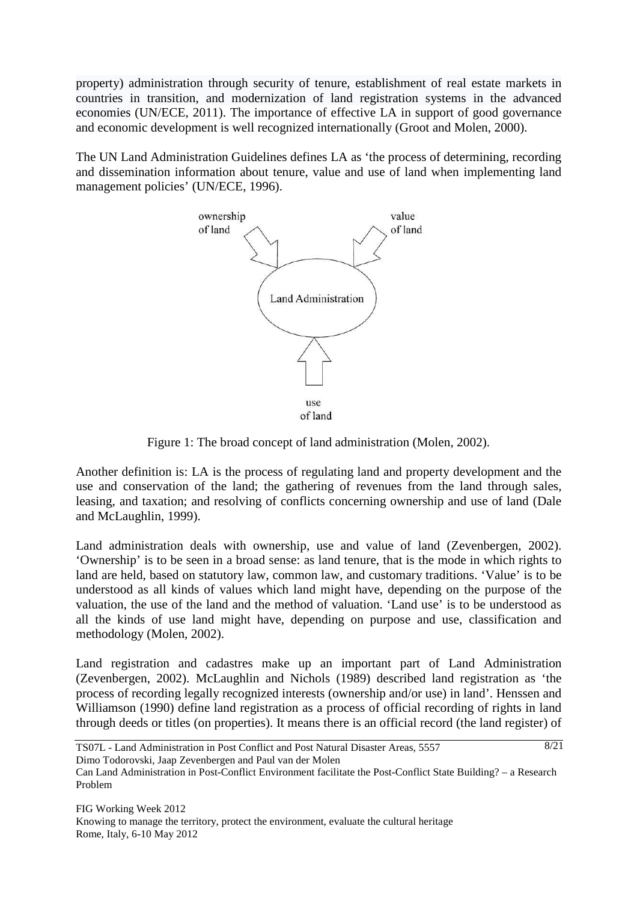property) administration through security of tenure, establishment of real estate markets in countries in transition, and modernization of land registration systems in the advanced economies (UN/ECE, 2011). The importance of effective LA in support of good governance and economic development is well recognized internationally (Groot and Molen, 2000).

The UN Land Administration Guidelines defines LA as 'the process of determining, recording and dissemination information about tenure, value and use of land when implementing land management policies' (UN/ECE, 1996).



Figure 1: The broad concept of land administration (Molen, 2002).

Another definition is: LA is the process of regulating land and property development and the use and conservation of the land; the gathering of revenues from the land through sales, leasing, and taxation; and resolving of conflicts concerning ownership and use of land (Dale and McLaughlin, 1999).

Land administration deals with ownership, use and value of land (Zevenbergen, 2002). 'Ownership' is to be seen in a broad sense: as land tenure, that is the mode in which rights to land are held, based on statutory law, common law, and customary traditions. 'Value' is to be understood as all kinds of values which land might have, depending on the purpose of the valuation, the use of the land and the method of valuation. 'Land use' is to be understood as all the kinds of use land might have, depending on purpose and use, classification and methodology (Molen, 2002).

Land registration and cadastres make up an important part of Land Administration (Zevenbergen, 2002). McLaughlin and Nichols (1989) described land registration as 'the process of recording legally recognized interests (ownership and/or use) in land'. Henssen and Williamson (1990) define land registration as a process of official recording of rights in land through deeds or titles (on properties). It means there is an official record (the land register) of

TS07L - Land Administration in Post Conflict and Post Natural Disaster Areas, 5557 Dimo Todorovski, Jaap Zevenbergen and Paul van der Molen

Can Land Administration in Post-Conflict Environment facilitate the Post-Conflict State Building? – a Research Problem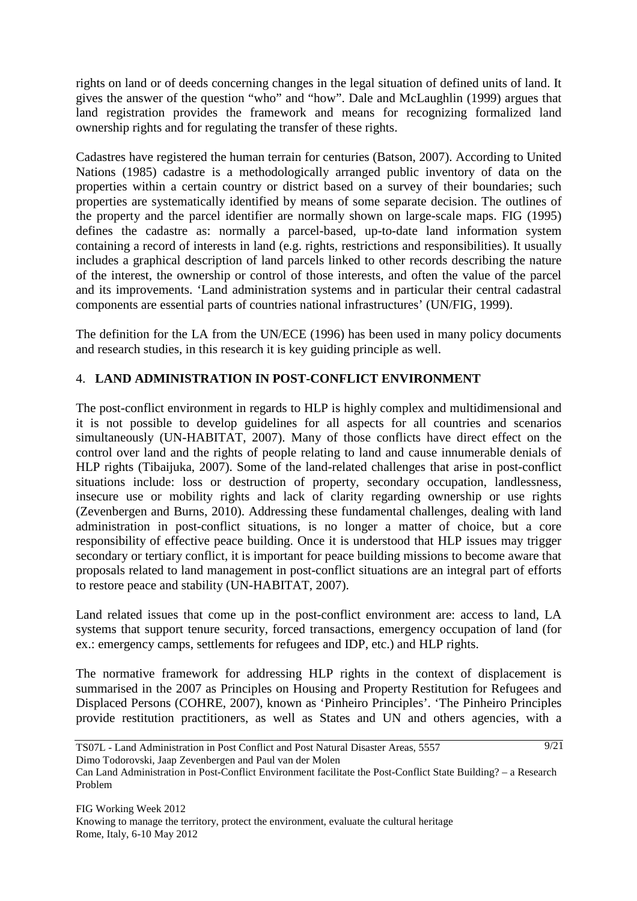rights on land or of deeds concerning changes in the legal situation of defined units of land. It gives the answer of the question "who" and "how". Dale and McLaughlin (1999) argues that land registration provides the framework and means for recognizing formalized land ownership rights and for regulating the transfer of these rights.

Cadastres have registered the human terrain for centuries (Batson, 2007). According to United Nations (1985) cadastre is a methodologically arranged public inventory of data on the properties within a certain country or district based on a survey of their boundaries; such properties are systematically identified by means of some separate decision. The outlines of the property and the parcel identifier are normally shown on large-scale maps. FIG (1995) defines the cadastre as: normally a parcel-based, up-to-date land information system containing a record of interests in land (e.g. rights, restrictions and responsibilities). It usually includes a graphical description of land parcels linked to other records describing the nature of the interest, the ownership or control of those interests, and often the value of the parcel and its improvements. 'Land administration systems and in particular their central cadastral components are essential parts of countries national infrastructures' (UN/FIG, 1999).

The definition for the LA from the UN/ECE (1996) has been used in many policy documents and research studies, in this research it is key guiding principle as well.

# 4. **LAND ADMINISTRATION IN POST-CONFLICT ENVIRONMENT**

The post-conflict environment in regards to HLP is highly complex and multidimensional and it is not possible to develop guidelines for all aspects for all countries and scenarios simultaneously (UN-HABITAT, 2007). Many of those conflicts have direct effect on the control over land and the rights of people relating to land and cause innumerable denials of HLP rights (Tibaijuka, 2007). Some of the land-related challenges that arise in post-conflict situations include: loss or destruction of property, secondary occupation, landlessness, insecure use or mobility rights and lack of clarity regarding ownership or use rights (Zevenbergen and Burns, 2010). Addressing these fundamental challenges, dealing with land administration in post-conflict situations, is no longer a matter of choice, but a core responsibility of effective peace building. Once it is understood that HLP issues may trigger secondary or tertiary conflict, it is important for peace building missions to become aware that proposals related to land management in post-conflict situations are an integral part of efforts to restore peace and stability (UN-HABITAT, 2007).

Land related issues that come up in the post-conflict environment are: access to land, LA systems that support tenure security, forced transactions, emergency occupation of land (for ex.: emergency camps, settlements for refugees and IDP, etc.) and HLP rights.

The normative framework for addressing HLP rights in the context of displacement is summarised in the 2007 as Principles on Housing and Property Restitution for Refugees and Displaced Persons (COHRE, 2007), known as 'Pinheiro Principles'. 'The Pinheiro Principles provide restitution practitioners, as well as States and UN and others agencies, with a

TS07L - Land Administration in Post Conflict and Post Natural Disaster Areas, 5557 Dimo Todorovski, Jaap Zevenbergen and Paul van der Molen 9/21

Can Land Administration in Post-Conflict Environment facilitate the Post-Conflict State Building? – a Research Problem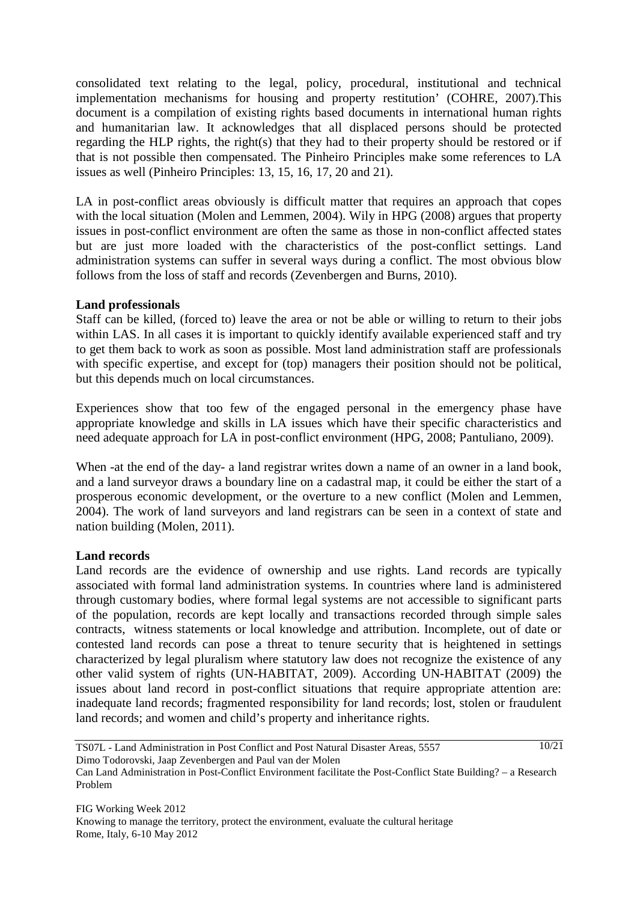consolidated text relating to the legal, policy, procedural, institutional and technical implementation mechanisms for housing and property restitution' (COHRE, 2007).This document is a compilation of existing rights based documents in international human rights and humanitarian law. It acknowledges that all displaced persons should be protected regarding the HLP rights, the right(s) that they had to their property should be restored or if that is not possible then compensated. The Pinheiro Principles make some references to LA issues as well (Pinheiro Principles: 13, 15, 16, 17, 20 and 21).

LA in post-conflict areas obviously is difficult matter that requires an approach that copes with the local situation (Molen and Lemmen, 2004). Wily in HPG (2008) argues that property issues in post-conflict environment are often the same as those in non-conflict affected states but are just more loaded with the characteristics of the post-conflict settings. Land administration systems can suffer in several ways during a conflict. The most obvious blow follows from the loss of staff and records (Zevenbergen and Burns, 2010).

## **Land professionals**

Staff can be killed, (forced to) leave the area or not be able or willing to return to their jobs within LAS. In all cases it is important to quickly identify available experienced staff and try to get them back to work as soon as possible. Most land administration staff are professionals with specific expertise, and except for (top) managers their position should not be political, but this depends much on local circumstances.

Experiences show that too few of the engaged personal in the emergency phase have appropriate knowledge and skills in LA issues which have their specific characteristics and need adequate approach for LA in post-conflict environment (HPG, 2008; Pantuliano, 2009).

When -at the end of the day- a land registrar writes down a name of an owner in a land book, and a land surveyor draws a boundary line on a cadastral map, it could be either the start of a prosperous economic development, or the overture to a new conflict (Molen and Lemmen, 2004). The work of land surveyors and land registrars can be seen in a context of state and nation building (Molen, 2011).

## **Land records**

Land records are the evidence of ownership and use rights. Land records are typically associated with formal land administration systems. In countries where land is administered through customary bodies, where formal legal systems are not accessible to significant parts of the population, records are kept locally and transactions recorded through simple sales contracts, witness statements or local knowledge and attribution. Incomplete, out of date or contested land records can pose a threat to tenure security that is heightened in settings characterized by legal pluralism where statutory law does not recognize the existence of any other valid system of rights (UN-HABITAT, 2009). According UN-HABITAT (2009) the issues about land record in post-conflict situations that require appropriate attention are: inadequate land records; fragmented responsibility for land records; lost, stolen or fraudulent land records; and women and child's property and inheritance rights.

TS07L - Land Administration in Post Conflict and Post Natural Disaster Areas, 5557 Dimo Todorovski, Jaap Zevenbergen and Paul van der Molen 10/21

Can Land Administration in Post-Conflict Environment facilitate the Post-Conflict State Building? – a Research Problem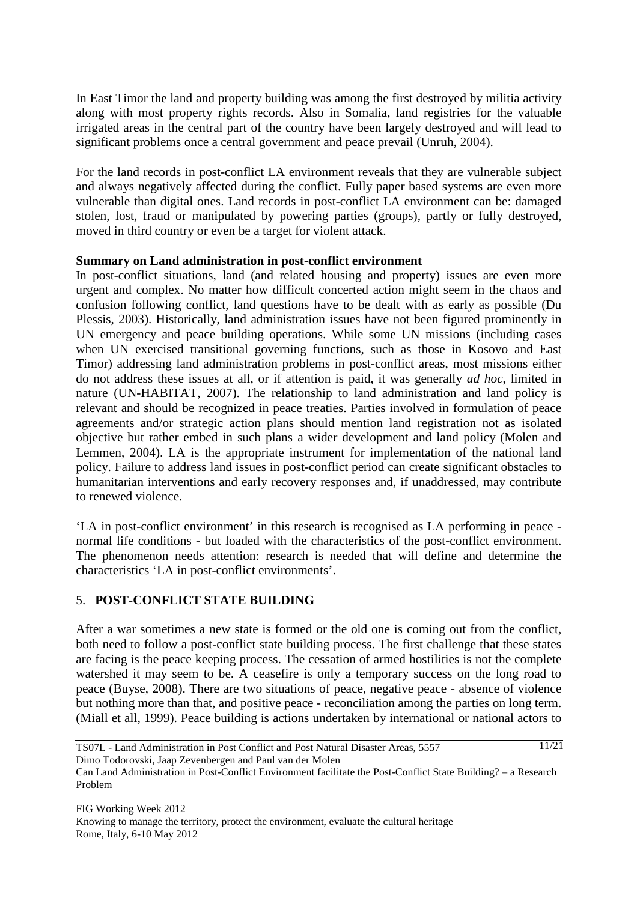In East Timor the land and property building was among the first destroyed by militia activity along with most property rights records. Also in Somalia, land registries for the valuable irrigated areas in the central part of the country have been largely destroyed and will lead to significant problems once a central government and peace prevail (Unruh, 2004).

For the land records in post-conflict LA environment reveals that they are vulnerable subject and always negatively affected during the conflict. Fully paper based systems are even more vulnerable than digital ones. Land records in post-conflict LA environment can be: damaged stolen, lost, fraud or manipulated by powering parties (groups), partly or fully destroyed, moved in third country or even be a target for violent attack.

## **Summary on Land administration in post-conflict environment**

In post-conflict situations, land (and related housing and property) issues are even more urgent and complex. No matter how difficult concerted action might seem in the chaos and confusion following conflict, land questions have to be dealt with as early as possible (Du Plessis, 2003). Historically, land administration issues have not been figured prominently in UN emergency and peace building operations. While some UN missions (including cases when UN exercised transitional governing functions, such as those in Kosovo and East Timor) addressing land administration problems in post-conflict areas, most missions either do not address these issues at all, or if attention is paid, it was generally *ad hoc*, limited in nature (UN-HABITAT, 2007). The relationship to land administration and land policy is relevant and should be recognized in peace treaties. Parties involved in formulation of peace agreements and/or strategic action plans should mention land registration not as isolated objective but rather embed in such plans a wider development and land policy (Molen and Lemmen, 2004). LA is the appropriate instrument for implementation of the national land policy. Failure to address land issues in post-conflict period can create significant obstacles to humanitarian interventions and early recovery responses and, if unaddressed, may contribute to renewed violence.

'LA in post-conflict environment' in this research is recognised as LA performing in peace normal life conditions - but loaded with the characteristics of the post-conflict environment. The phenomenon needs attention: research is needed that will define and determine the characteristics 'LA in post-conflict environments'.

# 5. **POST-CONFLICT STATE BUILDING**

After a war sometimes a new state is formed or the old one is coming out from the conflict, both need to follow a post-conflict state building process. The first challenge that these states are facing is the peace keeping process. The cessation of armed hostilities is not the complete watershed it may seem to be. A ceasefire is only a temporary success on the long road to peace (Buyse, 2008). There are two situations of peace, negative peace - absence of violence but nothing more than that, and positive peace - reconciliation among the parties on long term. (Miall et all, 1999). Peace building is actions undertaken by international or national actors to

TS07L - Land Administration in Post Conflict and Post Natural Disaster Areas, 5557 Dimo Todorovski, Jaap Zevenbergen and Paul van der Molen 11/21

Can Land Administration in Post-Conflict Environment facilitate the Post-Conflict State Building? – a Research Problem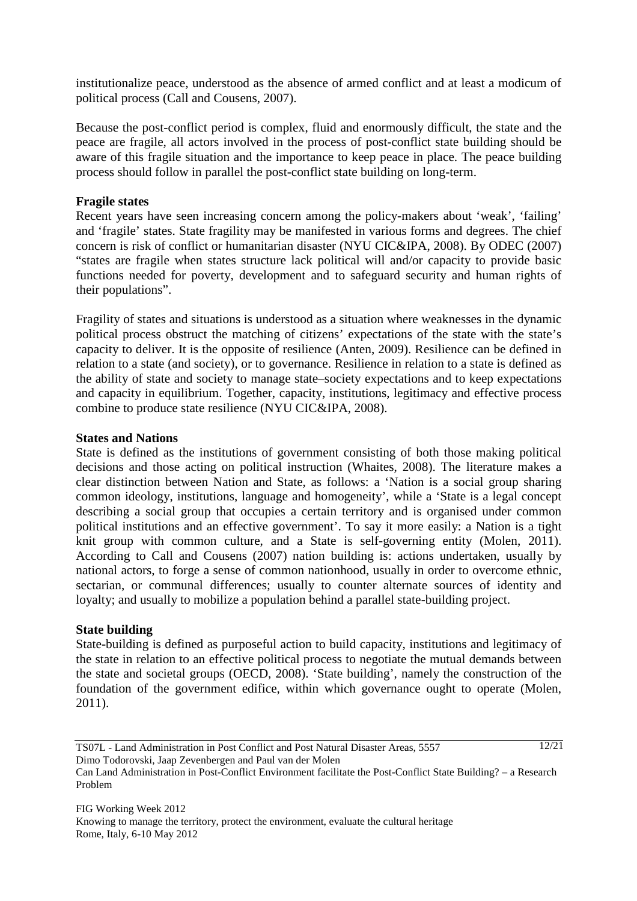institutionalize peace, understood as the absence of armed conflict and at least a modicum of political process (Call and Cousens, 2007).

Because the post-conflict period is complex, fluid and enormously difficult, the state and the peace are fragile, all actors involved in the process of post-conflict state building should be aware of this fragile situation and the importance to keep peace in place. The peace building process should follow in parallel the post-conflict state building on long-term.

## **Fragile states**

Recent years have seen increasing concern among the policy-makers about 'weak', 'failing' and 'fragile' states. State fragility may be manifested in various forms and degrees. The chief concern is risk of conflict or humanitarian disaster (NYU CIC&IPA, 2008). By ODEC (2007) "states are fragile when states structure lack political will and/or capacity to provide basic functions needed for poverty, development and to safeguard security and human rights of their populations".

Fragility of states and situations is understood as a situation where weaknesses in the dynamic political process obstruct the matching of citizens' expectations of the state with the state's capacity to deliver. It is the opposite of resilience (Anten, 2009). Resilience can be defined in relation to a state (and society), or to governance. Resilience in relation to a state is defined as the ability of state and society to manage state–society expectations and to keep expectations and capacity in equilibrium. Together, capacity, institutions, legitimacy and effective process combine to produce state resilience (NYU CIC&IPA, 2008).

## **States and Nations**

State is defined as the institutions of government consisting of both those making political decisions and those acting on political instruction (Whaites, 2008). The literature makes a clear distinction between Nation and State, as follows: a 'Nation is a social group sharing common ideology, institutions, language and homogeneity', while a 'State is a legal concept describing a social group that occupies a certain territory and is organised under common political institutions and an effective government'. To say it more easily: a Nation is a tight knit group with common culture, and a State is self-governing entity (Molen, 2011). According to Call and Cousens (2007) nation building is: actions undertaken, usually by national actors, to forge a sense of common nationhood, usually in order to overcome ethnic, sectarian, or communal differences; usually to counter alternate sources of identity and loyalty; and usually to mobilize a population behind a parallel state-building project.

## **State building**

State-building is defined as purposeful action to build capacity, institutions and legitimacy of the state in relation to an effective political process to negotiate the mutual demands between the state and societal groups (OECD, 2008). 'State building', namely the construction of the foundation of the government edifice, within which governance ought to operate (Molen, 2011).

TS07L - Land Administration in Post Conflict and Post Natural Disaster Areas, 5557 Dimo Todorovski, Jaap Zevenbergen and Paul van der Molen

Can Land Administration in Post-Conflict Environment facilitate the Post-Conflict State Building? – a Research Problem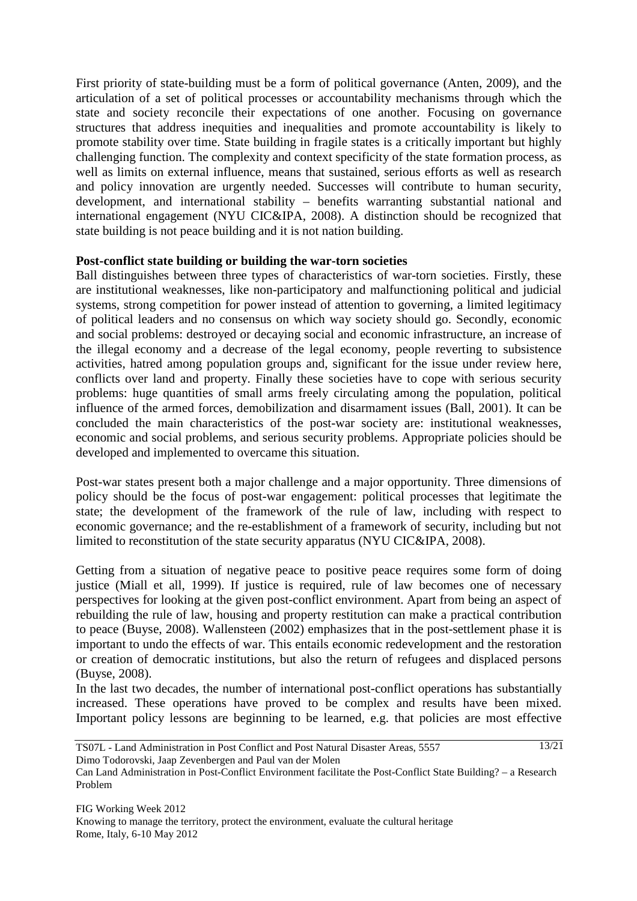First priority of state-building must be a form of political governance (Anten, 2009), and the articulation of a set of political processes or accountability mechanisms through which the state and society reconcile their expectations of one another. Focusing on governance structures that address inequities and inequalities and promote accountability is likely to promote stability over time. State building in fragile states is a critically important but highly challenging function. The complexity and context specificity of the state formation process, as well as limits on external influence, means that sustained, serious efforts as well as research and policy innovation are urgently needed. Successes will contribute to human security, development, and international stability – benefits warranting substantial national and international engagement (NYU CIC&IPA, 2008). A distinction should be recognized that state building is not peace building and it is not nation building.

## **Post-conflict state building or building the war-torn societies**

Ball distinguishes between three types of characteristics of war-torn societies. Firstly, these are institutional weaknesses, like non-participatory and malfunctioning political and judicial systems, strong competition for power instead of attention to governing, a limited legitimacy of political leaders and no consensus on which way society should go. Secondly, economic and social problems: destroyed or decaying social and economic infrastructure, an increase of the illegal economy and a decrease of the legal economy, people reverting to subsistence activities, hatred among population groups and, significant for the issue under review here, conflicts over land and property. Finally these societies have to cope with serious security problems: huge quantities of small arms freely circulating among the population, political influence of the armed forces, demobilization and disarmament issues (Ball, 2001). It can be concluded the main characteristics of the post-war society are: institutional weaknesses, economic and social problems, and serious security problems. Appropriate policies should be developed and implemented to overcame this situation.

Post-war states present both a major challenge and a major opportunity. Three dimensions of policy should be the focus of post-war engagement: political processes that legitimate the state; the development of the framework of the rule of law, including with respect to economic governance; and the re-establishment of a framework of security, including but not limited to reconstitution of the state security apparatus (NYU CIC&IPA, 2008).

Getting from a situation of negative peace to positive peace requires some form of doing justice (Miall et all, 1999). If justice is required, rule of law becomes one of necessary perspectives for looking at the given post-conflict environment. Apart from being an aspect of rebuilding the rule of law, housing and property restitution can make a practical contribution to peace (Buyse, 2008). Wallensteen (2002) emphasizes that in the post-settlement phase it is important to undo the effects of war. This entails economic redevelopment and the restoration or creation of democratic institutions, but also the return of refugees and displaced persons (Buyse, 2008).

In the last two decades, the number of international post-conflict operations has substantially increased. These operations have proved to be complex and results have been mixed. Important policy lessons are beginning to be learned, e.g. that policies are most effective

TS07L - Land Administration in Post Conflict and Post Natural Disaster Areas, 5557 Dimo Todorovski, Jaap Zevenbergen and Paul van der Molen 13/21

Can Land Administration in Post-Conflict Environment facilitate the Post-Conflict State Building? – a Research Problem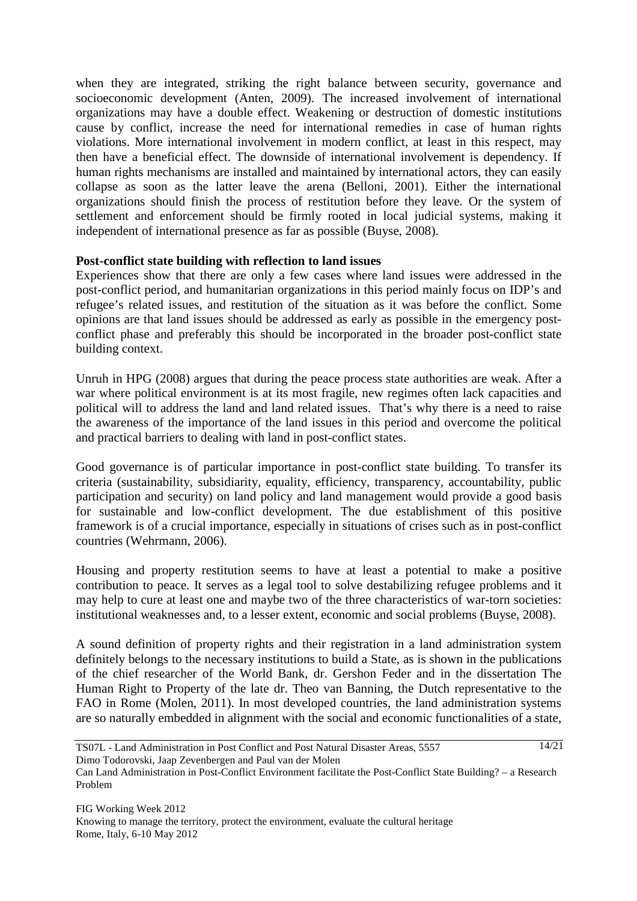when they are integrated, striking the right balance between security, governance and socioeconomic development (Anten, 2009). The increased involvement of international organizations may have a double effect. Weakening or destruction of domestic institutions cause by conflict, increase the need for international remedies in case of human rights violations. More international involvement in modern conflict, at least in this respect, may then have a beneficial effect. The downside of international involvement is dependency. If human rights mechanisms are installed and maintained by international actors, they can easily collapse as soon as the latter leave the arena (Belloni, 2001). Either the international organizations should finish the process of restitution before they leave. Or the system of settlement and enforcement should be firmly rooted in local judicial systems, making it independent of international presence as far as possible (Buyse, 2008).

## **Post-conflict state building with reflection to land issues**

Experiences show that there are only a few cases where land issues were addressed in the post-conflict period, and humanitarian organizations in this period mainly focus on IDP's and refugee's related issues, and restitution of the situation as it was before the conflict. Some opinions are that land issues should be addressed as early as possible in the emergency postconflict phase and preferably this should be incorporated in the broader post-conflict state building context.

Unruh in HPG (2008) argues that during the peace process state authorities are weak. After a war where political environment is at its most fragile, new regimes often lack capacities and political will to address the land and land related issues. That's why there is a need to raise the awareness of the importance of the land issues in this period and overcome the political and practical barriers to dealing with land in post-conflict states.

Good governance is of particular importance in post-conflict state building. To transfer its criteria (sustainability, subsidiarity, equality, efficiency, transparency, accountability, public participation and security) on land policy and land management would provide a good basis for sustainable and low-conflict development. The due establishment of this positive framework is of a crucial importance, especially in situations of crises such as in post-conflict countries (Wehrmann, 2006).

Housing and property restitution seems to have at least a potential to make a positive contribution to peace. It serves as a legal tool to solve destabilizing refugee problems and it may help to cure at least one and maybe two of the three characteristics of war-torn societies: institutional weaknesses and, to a lesser extent, economic and social problems (Buyse, 2008).

A sound definition of property rights and their registration in a land administration system definitely belongs to the necessary institutions to build a State, as is shown in the publications of the chief researcher of the World Bank, dr. Gershon Feder and in the dissertation The Human Right to Property of the late dr. Theo van Banning, the Dutch representative to the FAO in Rome (Molen, 2011). In most developed countries, the land administration systems are so naturally embedded in alignment with the social and economic functionalities of a state,

TS07L - Land Administration in Post Conflict and Post Natural Disaster Areas, 5557 Dimo Todorovski, Jaap Zevenbergen and Paul van der Molen 14/21

Can Land Administration in Post-Conflict Environment facilitate the Post-Conflict State Building? – a Research Problem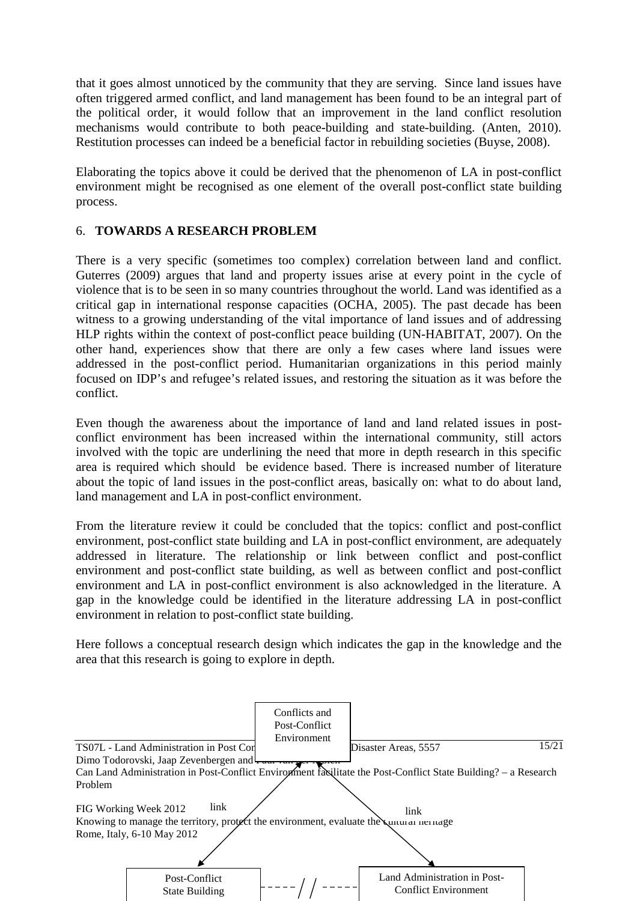that it goes almost unnoticed by the community that they are serving. Since land issues have often triggered armed conflict, and land management has been found to be an integral part of the political order, it would follow that an improvement in the land conflict resolution mechanisms would contribute to both peace-building and state-building. (Anten, 2010). Restitution processes can indeed be a beneficial factor in rebuilding societies (Buyse, 2008).

Elaborating the topics above it could be derived that the phenomenon of LA in post-conflict environment might be recognised as one element of the overall post-conflict state building process.

# 6. **TOWARDS A RESEARCH PROBLEM**

There is a very specific (sometimes too complex) correlation between land and conflict. Guterres (2009) argues that land and property issues arise at every point in the cycle of violence that is to be seen in so many countries throughout the world. Land was identified as a critical gap in international response capacities (OCHA, 2005). The past decade has been witness to a growing understanding of the vital importance of land issues and of addressing HLP rights within the context of post-conflict peace building (UN-HABITAT, 2007). On the other hand, experiences show that there are only a few cases where land issues were addressed in the post-conflict period. Humanitarian organizations in this period mainly focused on IDP's and refugee's related issues, and restoring the situation as it was before the conflict.

Even though the awareness about the importance of land and land related issues in postconflict environment has been increased within the international community, still actors involved with the topic are underlining the need that more in depth research in this specific area is required which should be evidence based. There is increased number of literature about the topic of land issues in the post-conflict areas, basically on: what to do about land, land management and LA in post-conflict environment.

From the literature review it could be concluded that the topics: conflict and post-conflict environment, post-conflict state building and LA in post-conflict environment, are adequately addressed in literature. The relationship or link between conflict and post-conflict environment and post-conflict state building, as well as between conflict and post-conflict environment and LA in post-conflict environment is also acknowledged in the literature. A gap in the knowledge could be identified in the literature addressing LA in post-conflict environment in relation to post-conflict state building.

Here follows a conceptual research design which indicates the gap in the knowledge and the area that this research is going to explore in depth.

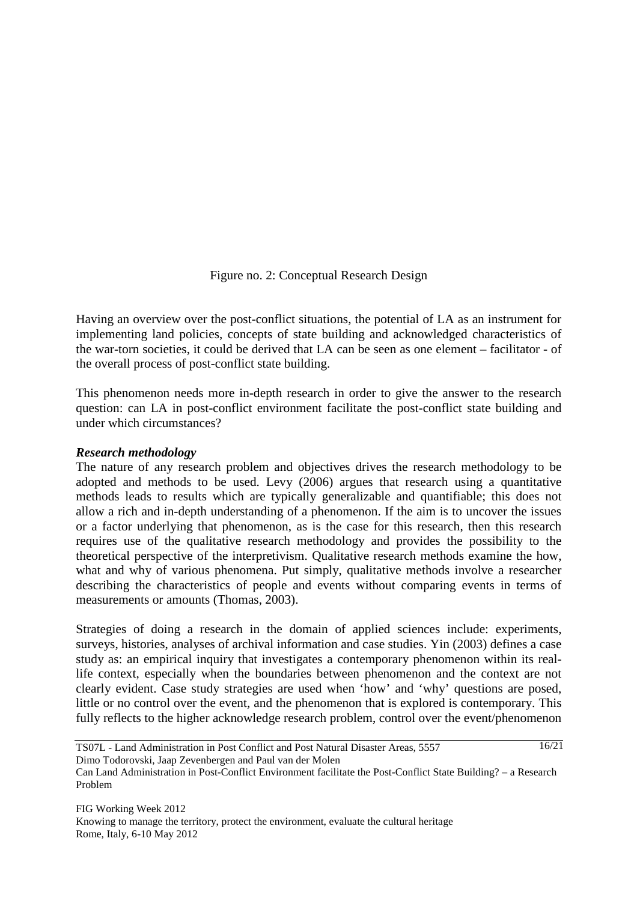## Figure no. 2: Conceptual Research Design

Having an overview over the post-conflict situations, the potential of LA as an instrument for implementing land policies, concepts of state building and acknowledged characteristics of the war-torn societies, it could be derived that LA can be seen as one element – facilitator - of the overall process of post-conflict state building.

This phenomenon needs more in-depth research in order to give the answer to the research question: can LA in post-conflict environment facilitate the post-conflict state building and under which circumstances?

#### *Research methodology*

The nature of any research problem and objectives drives the research methodology to be adopted and methods to be used. Levy (2006) argues that research using a quantitative methods leads to results which are typically generalizable and quantifiable; this does not allow a rich and in-depth understanding of a phenomenon. If the aim is to uncover the issues or a factor underlying that phenomenon, as is the case for this research, then this research requires use of the qualitative research methodology and provides the possibility to the theoretical perspective of the interpretivism. Qualitative research methods examine the how, what and why of various phenomena. Put simply, qualitative methods involve a researcher describing the characteristics of people and events without comparing events in terms of measurements or amounts (Thomas, 2003).

Strategies of doing a research in the domain of applied sciences include: experiments, surveys, histories, analyses of archival information and case studies. Yin (2003) defines a case study as: an empirical inquiry that investigates a contemporary phenomenon within its reallife context, especially when the boundaries between phenomenon and the context are not clearly evident. Case study strategies are used when 'how' and 'why' questions are posed, little or no control over the event, and the phenomenon that is explored is contemporary. This fully reflects to the higher acknowledge research problem, control over the event/phenomenon

TS07L - Land Administration in Post Conflict and Post Natural Disaster Areas, 5557 Dimo Todorovski, Jaap Zevenbergen and Paul van der Molen 16/21

Can Land Administration in Post-Conflict Environment facilitate the Post-Conflict State Building? – a Research Problem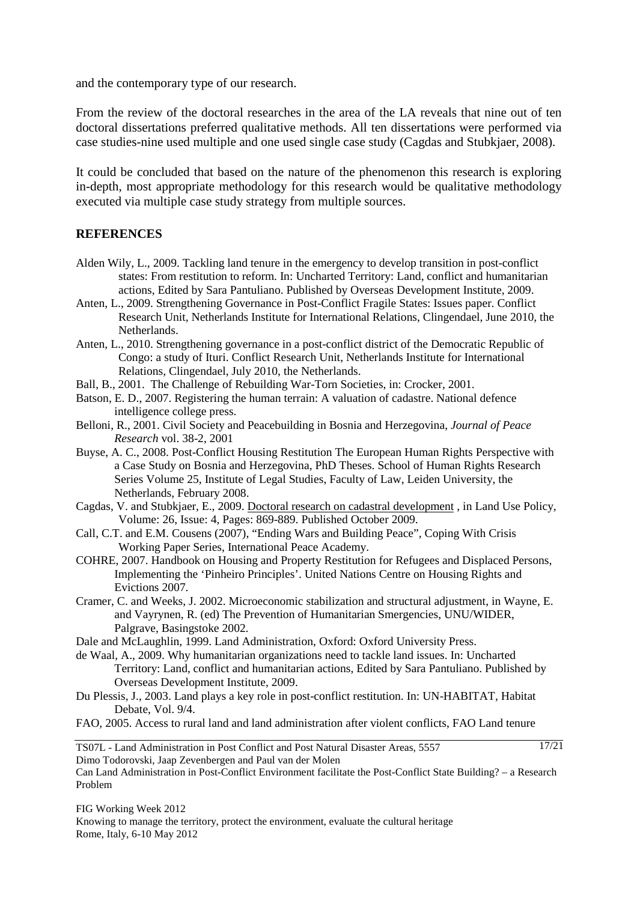and the contemporary type of our research.

From the review of the doctoral researches in the area of the LA reveals that nine out of ten doctoral dissertations preferred qualitative methods. All ten dissertations were performed via case studies-nine used multiple and one used single case study (Cagdas and Stubkjaer, 2008).

It could be concluded that based on the nature of the phenomenon this research is exploring in-depth, most appropriate methodology for this research would be qualitative methodology executed via multiple case study strategy from multiple sources.

## **REFERENCES**

- Alden Wily, L., 2009. Tackling land tenure in the emergency to develop transition in post-conflict states: From restitution to reform. In: Uncharted Territory: Land, conflict and humanitarian actions, Edited by Sara Pantuliano. Published by Overseas Development Institute, 2009.
- Anten, L., 2009. Strengthening Governance in Post-Conflict Fragile States: Issues paper. Conflict Research Unit, Netherlands Institute for International Relations, Clingendael, June 2010, the Netherlands.
- Anten, L., 2010. Strengthening governance in a post-conflict district of the Democratic Republic of Congo: a study of Ituri. Conflict Research Unit, Netherlands Institute for International Relations, Clingendael, July 2010, the Netherlands.
- Ball, B., 2001. The Challenge of Rebuilding War-Torn Societies, in: Crocker, 2001.
- Batson, E. D., 2007. Registering the human terrain: A valuation of cadastre. National defence intelligence college press.
- Belloni, R., 2001. Civil Society and Peacebuilding in Bosnia and Herzegovina, *Journal of Peace Research* vol. 38-2, 2001
- Buyse, A. C., 2008. Post-Conflict Housing Restitution The European Human Rights Perspective with a Case Study on Bosnia and Herzegovina, PhD Theses. School of Human Rights Research Series Volume 25, Institute of Legal Studies, Faculty of Law, Leiden University, the Netherlands, February 2008.
- Cagdas, V. and Stubkjaer, E., 2009. Doctoral research on cadastral development , in Land Use Policy, Volume: 26, Issue: 4, Pages: 869-889. Published October 2009.
- Call, C.T. and E.M. Cousens (2007), "Ending Wars and Building Peace"*,* Coping With Crisis Working Paper Series, International Peace Academy.
- COHRE, 2007. Handbook on Housing and Property Restitution for Refugees and Displaced Persons, Implementing the 'Pinheiro Principles'. United Nations Centre on Housing Rights and Evictions 2007.
- Cramer, C. and Weeks, J. 2002. Microeconomic stabilization and structural adjustment, in Wayne, E. and Vayrynen, R. (ed) The Prevention of Humanitarian Smergencies, UNU/WIDER, Palgrave, Basingstoke 2002.
- Dale and McLaughlin, 1999. Land Administration, Oxford: Oxford University Press.
- de Waal, A., 2009. Why humanitarian organizations need to tackle land issues. In: Uncharted Territory: Land, conflict and humanitarian actions, Edited by Sara Pantuliano. Published by Overseas Development Institute, 2009.
- Du Plessis, J., 2003. Land plays a key role in post-conflict restitution. In: UN-HABITAT, Habitat Debate, Vol. 9/4.

FAO, 2005. Access to rural land and land administration after violent conflicts, FAO Land tenure

TS07L - Land Administration in Post Conflict and Post Natural Disaster Areas, 5557 Dimo Todorovski, Jaap Zevenbergen and Paul van der Molen

Can Land Administration in Post-Conflict Environment facilitate the Post-Conflict State Building? – a Research Problem

17/21

FIG Working Week 2012 Knowing to manage the territory, protect the environment, evaluate the cultural heritage Rome, Italy, 6-10 May 2012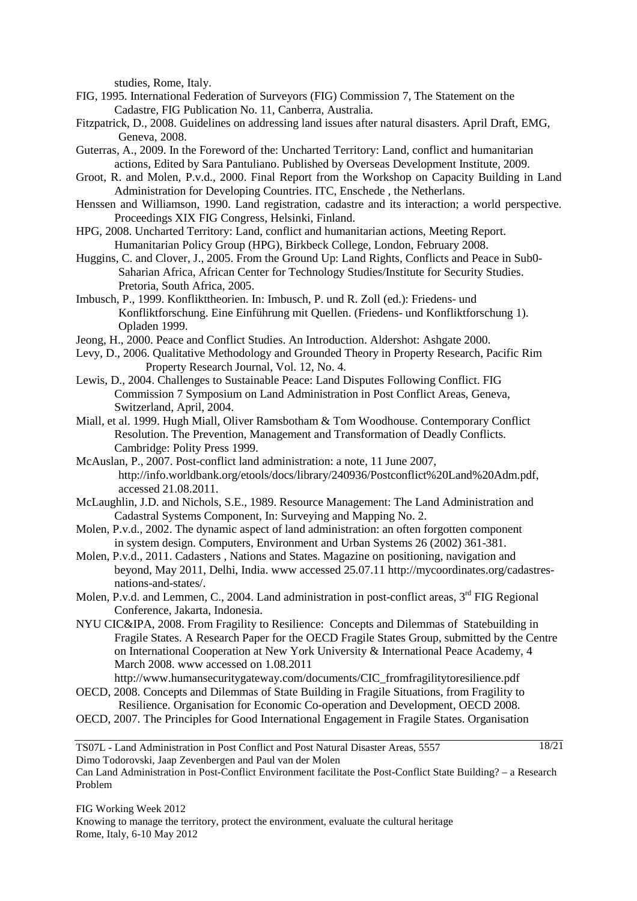studies, Rome, Italy.

- FIG, 1995. International Federation of Surveyors (FIG) Commission 7, The Statement on the Cadastre, FIG Publication No. 11, Canberra, Australia.
- Fitzpatrick, D., 2008. Guidelines on addressing land issues after natural disasters. April Draft, EMG, Geneva, 2008.
- Guterras, A., 2009. In the Foreword of the: Uncharted Territory: Land, conflict and humanitarian actions, Edited by Sara Pantuliano. Published by Overseas Development Institute, 2009.
- Groot, R. and Molen, P.v.d., 2000. Final Report from the Workshop on Capacity Building in Land Administration for Developing Countries. ITC, Enschede , the Netherlans.
- Henssen and Williamson, 1990. Land registration, cadastre and its interaction; a world perspective. Proceedings XIX FIG Congress, Helsinki, Finland.
- HPG, 2008. Uncharted Territory: Land, conflict and humanitarian actions, Meeting Report. Humanitarian Policy Group (HPG), Birkbeck College, London, February 2008.
- Huggins, C. and Clover, J., 2005. From the Ground Up: Land Rights, Conflicts and Peace in Sub0- Saharian Africa, African Center for Technology Studies/Institute for Security Studies. Pretoria, South Africa, 2005.
- Imbusch, P., 1999. Konflikttheorien. In: Imbusch, P. und R. Zoll (ed.): Friedens- und Konfliktforschung. Eine Einführung mit Quellen. (Friedens- und Konfliktforschung 1). Opladen 1999.
- Jeong, H., 2000. Peace and Conflict Studies. An Introduction. Aldershot: Ashgate 2000.
- Levy, D., 2006. Qualitative Methodology and Grounded Theory in Property Research, Pacific Rim Property Research Journal, Vol. 12, No. 4.
- Lewis, D., 2004. Challenges to Sustainable Peace: Land Disputes Following Conflict. FIG Commission 7 Symposium on Land Administration in Post Conflict Areas, Geneva, Switzerland, April, 2004.
- Miall, et al. 1999. Hugh Miall, Oliver Ramsbotham & Tom Woodhouse. Contemporary Conflict Resolution. The Prevention, Management and Transformation of Deadly Conflicts. Cambridge: Polity Press 1999.
- McAuslan, P., 2007. Post-conflict land administration: a note, 11 June 2007, http://info.worldbank.org/etools/docs/library/240936/Postconflict%20Land%20Adm.pdf, accessed 21.08.2011.
- McLaughlin, J.D. and Nichols, S.E., 1989. Resource Management: The Land Administration and Cadastral Systems Component, In: Surveying and Mapping No. 2.
- Molen, P.v.d., 2002. The dynamic aspect of land administration: an often forgotten component in system design. Computers, Environment and Urban Systems 26 (2002) 361-381.
- Molen, P.v.d., 2011. Cadasters , Nations and States. Magazine on positioning, navigation and beyond, May 2011, Delhi, India. www accessed 25.07.11 http://mycoordinates.org/cadastresnations-and-states/.
- Molen, P.v.d. and Lemmen, C., 2004. Land administration in post-conflict areas, 3<sup>rd</sup> FIG Regional Conference, Jakarta, Indonesia.
- NYU CIC&IPA, 2008. From Fragility to Resilience: Concepts and Dilemmas of Statebuilding in Fragile States. A Research Paper for the OECD Fragile States Group, submitted by the Centre on International Cooperation at New York University & International Peace Academy, 4 March 2008. www accessed on 1.08.2011
- http://www.humansecuritygateway.com/documents/CIC\_fromfragilitytoresilience.pdf OECD, 2008. Concepts and Dilemmas of State Building in Fragile Situations, from Fragility to
- Resilience. Organisation for Economic Co-operation and Development, OECD 2008. OECD, 2007. The Principles for Good International Engagement in Fragile States. Organisation

TS07L - Land Administration in Post Conflict and Post Natural Disaster Areas, 5557 Dimo Todorovski, Jaap Zevenbergen and Paul van der Molen

Can Land Administration in Post-Conflict Environment facilitate the Post-Conflict State Building? – a Research Problem

FIG Working Week 2012 Knowing to manage the territory, protect the environment, evaluate the cultural heritage Rome, Italy, 6-10 May 2012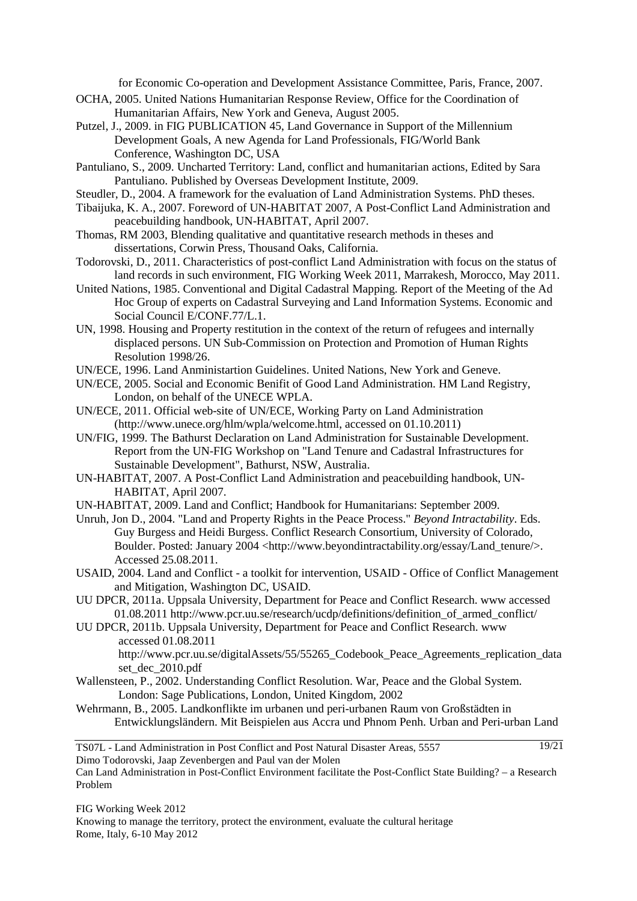for Economic Co-operation and Development Assistance Committee, Paris, France, 2007.

- OCHA, 2005. United Nations Humanitarian Response Review, Office for the Coordination of Humanitarian Affairs, New York and Geneva, August 2005.
- Putzel, J., 2009. in FIG PUBLICATION 45, Land Governance in Support of the Millennium Development Goals, A new Agenda for Land Professionals, FIG/World Bank Conference, Washington DC, USA
- Pantuliano, S., 2009. Uncharted Territory: Land, conflict and humanitarian actions, Edited by Sara Pantuliano. Published by Overseas Development Institute, 2009.
- Steudler, D., 2004. A framework for the evaluation of Land Administration Systems. PhD theses.
- Tibaijuka, K. A., 2007. Foreword of UN-HABITAT 2007, A Post-Conflict Land Administration and peacebuilding handbook, UN-HABITAT, April 2007.
- Thomas, RM 2003, Blending qualitative and quantitative research methods in theses and dissertations, Corwin Press, Thousand Oaks, California.
- Todorovski, D., 2011. Characteristics of post-conflict Land Administration with focus on the status of land records in such environment, FIG Working Week 2011, Marrakesh, Morocco, May 2011.
- United Nations, 1985. Conventional and Digital Cadastral Mapping. Report of the Meeting of the Ad Hoc Group of experts on Cadastral Surveying and Land Information Systems. Economic and Social Council E/CONF.77/L.1.
- UN, 1998. Housing and Property restitution in the context of the return of refugees and internally displaced persons. UN Sub-Commission on Protection and Promotion of Human Rights Resolution 1998/26.
- UN/ECE, 1996. Land Anministartion Guidelines. United Nations, New York and Geneve.
- UN/ECE, 2005. Social and Economic Benifit of Good Land Administration. HM Land Registry, London, on behalf of the UNECE WPLA.
- UN/ECE, 2011. Official web-site of UN/ECE, Working Party on Land Administration (http://www.unece.org/hlm/wpla/welcome.html, accessed on 01.10.2011)
- UN/FIG, 1999. The Bathurst Declaration on Land Administration for Sustainable Development. Report from the UN-FIG Workshop on "Land Tenure and Cadastral Infrastructures for Sustainable Development", Bathurst, NSW, Australia.
- UN-HABITAT, 2007. A Post-Conflict Land Administration and peacebuilding handbook, UN-HABITAT, April 2007.
- UN-HABITAT, 2009. Land and Conflict; Handbook for Humanitarians: September 2009.
- Unruh, Jon D., 2004. "Land and Property Rights in the Peace Process." *Beyond Intractability*. Eds. Guy Burgess and Heidi Burgess. Conflict Research Consortium, University of Colorado, Boulder. Posted: January 2004 <http://www.beyondintractability.org/essay/Land\_tenure/>. Accessed 25.08.2011.
- USAID, 2004. Land and Conflict a toolkit for intervention, USAID Office of Conflict Management and Mitigation, Washington DC, USAID.
- UU DPCR, 2011a. Uppsala University, Department for Peace and Conflict Research. www accessed 01.08.2011 http://www.pcr.uu.se/research/ucdp/definitions/definition\_of\_armed\_conflict/
- UU DPCR, 2011b. Uppsala University, Department for Peace and Conflict Research. www accessed 01.08.2011 http://www.pcr.uu.se/digitalAssets/55/55265\_Codebook\_Peace\_Agreements\_replication\_data
	- set\_dec\_2010.pdf
- Wallensteen, P., 2002. Understanding Conflict Resolution. War, Peace and the Global System. London: Sage Publications, London, United Kingdom, 2002
- Wehrmann, B., 2005. Landkonflikte im urbanen und peri-urbanen Raum von Großstädten in Entwicklungsländern. Mit Beispielen aus Accra und Phnom Penh. Urban and Peri-urban Land

19/21

TS07L - Land Administration in Post Conflict and Post Natural Disaster Areas, 5557 Dimo Todorovski, Jaap Zevenbergen and Paul van der Molen

FIG Working Week 2012 Knowing to manage the territory, protect the environment, evaluate the cultural heritage Rome, Italy, 6-10 May 2012

Can Land Administration in Post-Conflict Environment facilitate the Post-Conflict State Building? – a Research Problem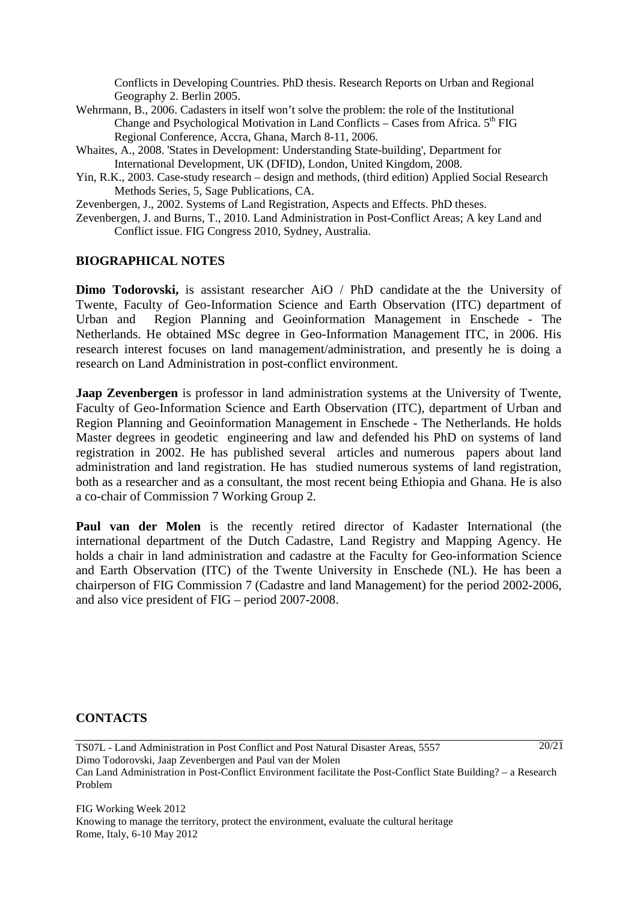Conflicts in Developing Countries. PhD thesis. Research Reports on Urban and Regional Geography 2. Berlin 2005.

- Wehrmann, B., 2006. Cadasters in itself won't solve the problem: the role of the Institutional Change and Psychological Motivation in Land Conflicts – Cases from Africa.  $5<sup>th</sup> FIG$ Regional Conference, Accra, Ghana, March 8-11, 2006.
- Whaites, A., 2008. 'States in Development: Understanding State-building', Department for International Development, UK (DFID), London, United Kingdom, 2008.
- Yin, R.K., 2003. Case-study research design and methods, (third edition) Applied Social Research Methods Series, 5, Sage Publications, CA.

Zevenbergen, J., 2002. Systems of Land Registration, Aspects and Effects. PhD theses.

Zevenbergen, J. and Burns, T., 2010. Land Administration in Post-Conflict Areas; A key Land and Conflict issue. FIG Congress 2010, Sydney, Australia.

## **BIOGRAPHICAL NOTES**

**Dimo Todorovski,** is assistant researcher AiO / PhD candidate at the the University of Twente, Faculty of Geo-Information Science and Earth Observation (ITC) department of Urban and Region Planning and Geoinformation Management in Enschede - The Netherlands. He obtained MSc degree in Geo-Information Management ITC, in 2006. His research interest focuses on land management/administration, and presently he is doing a research on Land Administration in post-conflict environment.

**Jaap Zevenbergen** is professor in land administration systems at the University of Twente, Faculty of Geo-Information Science and Earth Observation (ITC), department of Urban and Region Planning and Geoinformation Management in Enschede - The Netherlands. He holds Master degrees in geodetic engineering and law and defended his PhD on systems of land registration in 2002. He has published several articles and numerous papers about land administration and land registration. He has studied numerous systems of land registration, both as a researcher and as a consultant, the most recent being Ethiopia and Ghana. He is also a co-chair of Commission 7 Working Group 2.

Paul van der Molen is the recently retired director of Kadaster International (the international department of the Dutch Cadastre, Land Registry and Mapping Agency. He holds a chair in land administration and cadastre at the Faculty for Geo-information Science and Earth Observation (ITC) of the Twente University in Enschede (NL). He has been a chairperson of FIG Commission 7 (Cadastre and land Management) for the period 2002-2006, and also vice president of FIG – period 2007-2008.

## **CONTACTS**

TS07L - Land Administration in Post Conflict and Post Natural Disaster Areas, 5557 Dimo Todorovski, Jaap Zevenbergen and Paul van der Molen Can Land Administration in Post-Conflict Environment facilitate the Post-Conflict State Building? – a Research Problem

FIG Working Week 2012 Knowing to manage the territory, protect the environment, evaluate the cultural heritage Rome, Italy, 6-10 May 2012